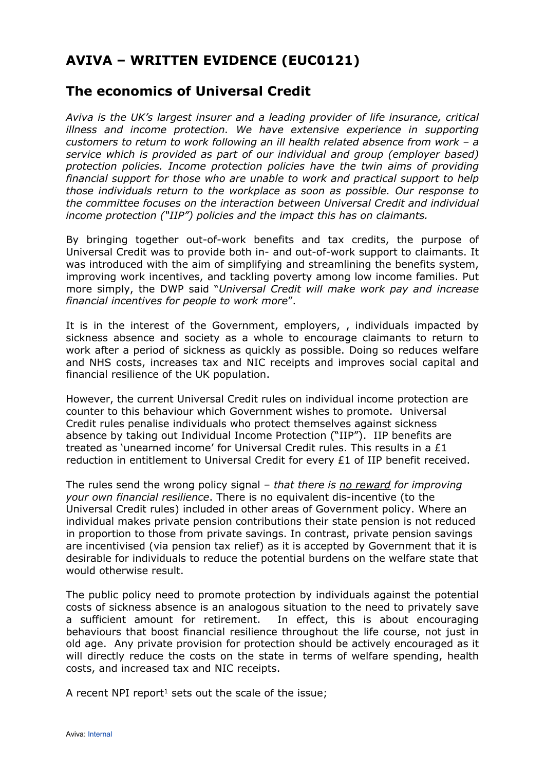## **AVIVA – WRITTEN EVIDENCE (EUC0121)**

## **The economics of Universal Credit**

*Aviva is the UK's largest insurer and a leading provider of life insurance, critical illness and income protection. We have extensive experience in supporting customers to return to work following an ill health related absence from work – a service which is provided as part of our individual and group (employer based) protection policies. Income protection policies have the twin aims of providing financial support for those who are unable to work and practical support to help those individuals return to the workplace as soon as possible. Our response to the committee focuses on the interaction between Universal Credit and individual income protection ("IIP") policies and the impact this has on claimants.*

By bringing together out-of-work benefits and tax credits, the purpose of Universal Credit was to provide both in- and out-of-work support to claimants. It was introduced with the aim of simplifying and streamlining the benefits system, improving work incentives, and tackling poverty among low income families. Put more simply, the DWP said "*Universal Credit will make work pay and increase financial incentives for people to work more*".

It is in the interest of the Government, employers, , individuals impacted by sickness absence and society as a whole to encourage claimants to return to work after a period of sickness as quickly as possible. Doing so reduces welfare and NHS costs, increases tax and NIC receipts and improves social capital and financial resilience of the UK population.

However, the current Universal Credit rules on individual income protection are counter to this behaviour which Government wishes to promote. Universal Credit rules penalise individuals who protect themselves against sickness absence by taking out Individual Income Protection ("IIP"). IIP benefits are treated as 'unearned income' for Universal Credit rules. This results in a £1 reduction in entitlement to Universal Credit for every £1 of IIP benefit received.

The rules send the wrong policy signal – *that there is no reward for improving your own financial resilience*. There is no equivalent dis-incentive (to the Universal Credit rules) included in other areas of Government policy. Where an individual makes private pension contributions their state pension is not reduced in proportion to those from private savings. In contrast, private pension savings are incentivised (via pension tax relief) as it is accepted by Government that it is desirable for individuals to reduce the potential burdens on the welfare state that would otherwise result.

The public policy need to promote protection by individuals against the potential costs of sickness absence is an analogous situation to the need to privately save a sufficient amount for retirement. In effect, this is about encouraging behaviours that boost financial resilience throughout the life course, not just in old age. Any private provision for protection should be actively encouraged as it will directly reduce the costs on the state in terms of welfare spending, health costs, and increased tax and NIC receipts.

A recent NPI report<sup>1</sup> sets out the scale of the issue;